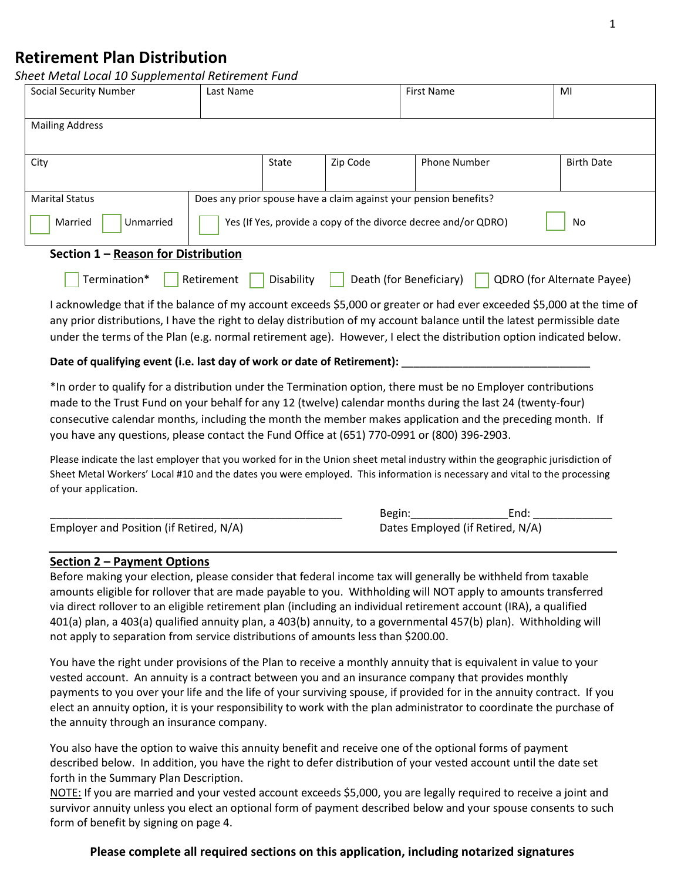# **Retirement Plan Distribution**

*Sheet Metal Local 10 Supplemental Retirement Fund*

| Social Security Number                                                                                   | Last Name                                                            |       |          | <b>First Name</b>                                                 | MI                |
|----------------------------------------------------------------------------------------------------------|----------------------------------------------------------------------|-------|----------|-------------------------------------------------------------------|-------------------|
|                                                                                                          |                                                                      |       |          |                                                                   |                   |
| <b>Mailing Address</b>                                                                                   |                                                                      |       |          |                                                                   |                   |
|                                                                                                          |                                                                      |       |          |                                                                   |                   |
| City                                                                                                     |                                                                      | State | Zip Code | <b>Phone Number</b>                                               | <b>Birth Date</b> |
|                                                                                                          |                                                                      |       |          |                                                                   |                   |
| <b>Marital Status</b>                                                                                    |                                                                      |       |          | Does any prior spouse have a claim against your pension benefits? |                   |
| Unmarried<br>Married                                                                                     | Yes (If Yes, provide a copy of the divorce decree and/or QDRO)<br>No |       |          |                                                                   |                   |
| Section 1 - Reason for Distribution                                                                      |                                                                      |       |          |                                                                   |                   |
| Termination*<br>Disability<br>Death (for Beneficiary)<br><b>QDRO</b> (for Alternate Payee)<br>Retirement |                                                                      |       |          |                                                                   |                   |

I acknowledge that if the balance of my account exceeds \$5,000 or greater or had ever exceeded \$5,000 at the time of any prior distributions, I have the right to delay distribution of my account balance until the latest permissible date under the terms of the Plan (e.g. normal retirement age). However, I elect the distribution option indicated below.

### **Date of qualifying event (i.e. last day of work or date of Retirement):** \_\_\_\_\_\_\_\_\_\_\_\_\_\_\_\_\_\_\_\_\_\_\_\_\_\_\_\_\_\_\_

\*In order to qualify for a distribution under the Termination option, there must be no Employer contributions made to the Trust Fund on your behalf for any 12 (twelve) calendar months during the last 24 (twenty-four) consecutive calendar months, including the month the member makes application and the preceding month. If you have any questions, please contact the Fund Office at (651) 770-0991 or (800) 396-2903.

Please indicate the last employer that you worked for in the Union sheet metal industry within the geographic jurisdiction of Sheet Metal Workers' Local #10 and the dates you were employed. This information is necessary and vital to the processing of your application.

|                                         | Begin:                           | End: |
|-----------------------------------------|----------------------------------|------|
| Employer and Position (if Retired, N/A) | Dates Employed (if Retired, N/A) |      |

## **Section 2 – Payment Options**

Before making your election, please consider that federal income tax will generally be withheld from taxable amounts eligible for rollover that are made payable to you. Withholding will NOT apply to amounts transferred via direct rollover to an eligible retirement plan (including an individual retirement account (IRA), a qualified 401(a) plan, a 403(a) qualified annuity plan, a 403(b) annuity, to a governmental 457(b) plan). Withholding will not apply to separation from service distributions of amounts less than \$200.00.

You have the right under provisions of the Plan to receive a monthly annuity that is equivalent in value to your vested account. An annuity is a contract between you and an insurance company that provides monthly payments to you over your life and the life of your surviving spouse, if provided for in the annuity contract. If you elect an annuity option, it is your responsibility to work with the plan administrator to coordinate the purchase of the annuity through an insurance company.

You also have the option to waive this annuity benefit and receive one of the optional forms of payment described below. In addition, you have the right to defer distribution of your vested account until the date set forth in the Summary Plan Description.

NOTE: If you are married and your vested account exceeds \$5,000, you are legally required to receive a joint and survivor annuity unless you elect an optional form of payment described below and your spouse consents to such form of benefit by signing on page 4.

## **Please complete all required sections on this application, including notarized signatures**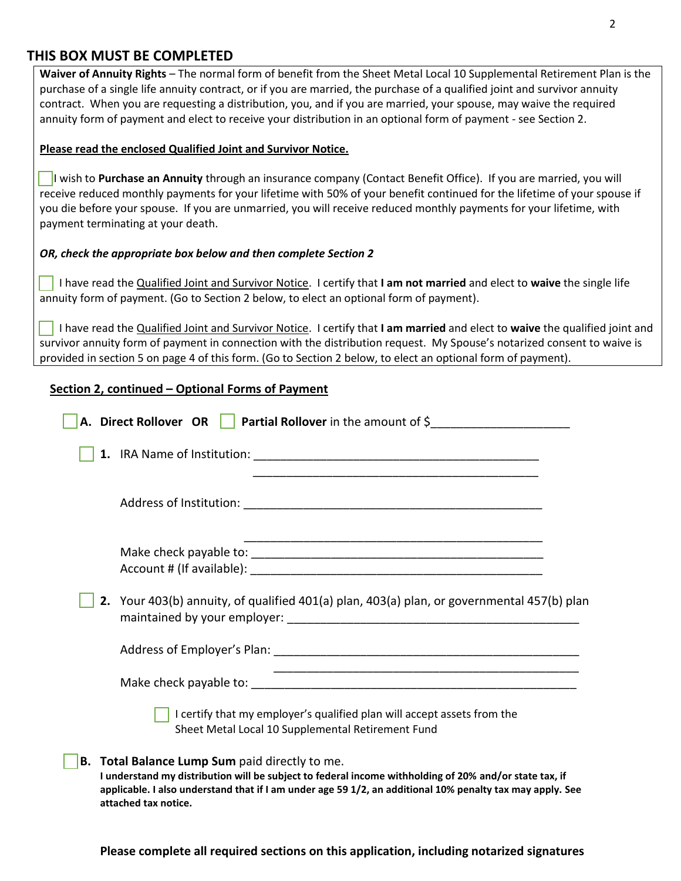## **THIS BOX MUST BE COMPLETED**

**Waiver of Annuity Rights** – The normal form of benefit from the Sheet Metal Local 10 Supplemental Retirement Plan is the purchase of a single life annuity contract, or if you are married, the purchase of a qualified joint and survivor annuity contract. When you are requesting a distribution, you, and if you are married, your spouse, may waive the required annuity form of payment and elect to receive your distribution in an optional form of payment - see Section 2.

#### **Please read the enclosed Qualified Joint and Survivor Notice.**

 I wish to **Purchase an Annuity** through an insurance company (Contact Benefit Office). If you are married, you will receive reduced monthly payments for your lifetime with 50% of your benefit continued for the lifetime of your spouse if you die before your spouse. If you are unmarried, you will receive reduced monthly payments for your lifetime, with payment terminating at your death.

## *OR, check the appropriate box below and then complete Section 2*

 I have read the Qualified Joint and Survivor Notice. I certify that **I am not married** and elect to **waive** the single life annuity form of payment. (Go to Section 2 below, to elect an optional form of payment).

 I have read the Qualified Joint and Survivor Notice. I certify that **I am married** and elect to **waive** the qualified joint and survivor annuity form of payment in connection with the distribution request. My Spouse's notarized consent to waive is provided in section 5 on page 4 of this form. (Go to Section 2 below, to elect an optional form of payment).

## **Section 2, continued – Optional Forms of Payment**

|                                                                                                                                                                                                                                                                                                      |  | A. Direct Rollover OR   Partial Rollover in the amount of \$                                                                 |  |
|------------------------------------------------------------------------------------------------------------------------------------------------------------------------------------------------------------------------------------------------------------------------------------------------------|--|------------------------------------------------------------------------------------------------------------------------------|--|
|                                                                                                                                                                                                                                                                                                      |  |                                                                                                                              |  |
|                                                                                                                                                                                                                                                                                                      |  |                                                                                                                              |  |
|                                                                                                                                                                                                                                                                                                      |  |                                                                                                                              |  |
|                                                                                                                                                                                                                                                                                                      |  | 2. Your 403(b) annuity, of qualified 401(a) plan, 403(a) plan, or governmental 457(b) plan                                   |  |
|                                                                                                                                                                                                                                                                                                      |  |                                                                                                                              |  |
|                                                                                                                                                                                                                                                                                                      |  |                                                                                                                              |  |
|                                                                                                                                                                                                                                                                                                      |  | I certify that my employer's qualified plan will accept assets from the<br>Sheet Metal Local 10 Supplemental Retirement Fund |  |
| <b>B.</b> Total Balance Lump Sum paid directly to me.<br>I understand my distribution will be subject to federal income withholding of 20% and/or state tax, if<br>applicable. I also understand that if I am under age 59 1/2, an additional 10% penalty tax may apply. See<br>attached tax notice. |  |                                                                                                                              |  |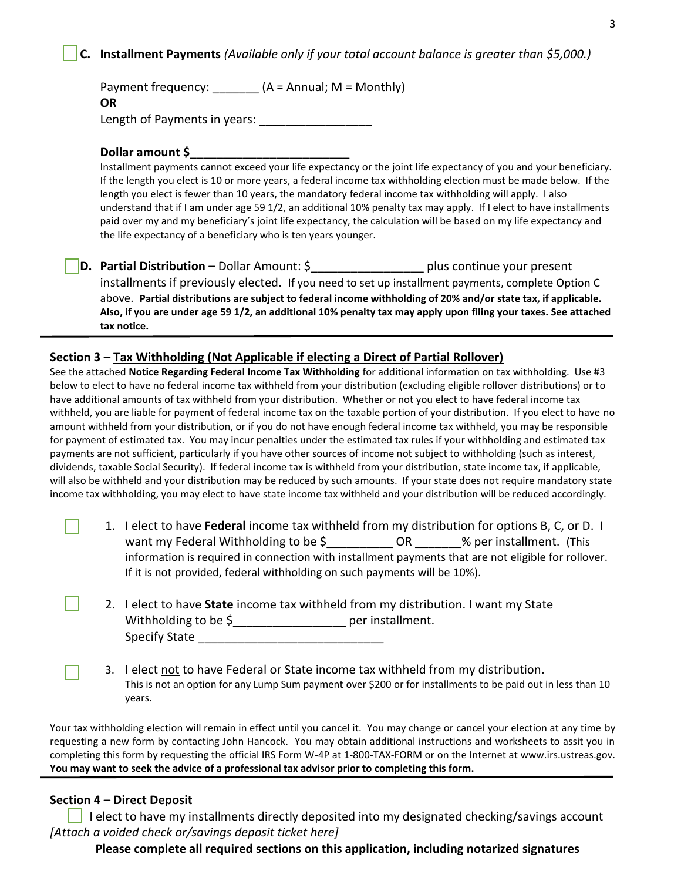## **C. Installment Payments** *(Available only if your total account balance is greater than \$5,000.)*

Payment frequency:  $(A = \text{Annual}; M = \text{Monthly})$ **OR** Length of Payments in years: \_\_\_\_\_\_\_\_\_\_\_\_\_\_\_\_\_

#### **Dollar amount \$**\_\_\_\_\_\_\_\_\_\_\_\_\_\_\_\_\_\_\_\_\_\_\_\_

Installment payments cannot exceed your life expectancy or the joint life expectancy of you and your beneficiary. If the length you elect is 10 or more years, a federal income tax withholding election must be made below. If the length you elect is fewer than 10 years, the mandatory federal income tax withholding will apply. I also understand that if I am under age 59 1/2, an additional 10% penalty tax may apply. If I elect to have installments paid over my and my beneficiary's joint life expectancy, the calculation will be based on my life expectancy and the life expectancy of a beneficiary who is ten years younger.

**D.** Partial Distribution – Dollar Amount: \$ plus continue your present installments if previously elected. If you need to set up installment payments, complete Option C above. **Partial distributions are subject to federal income withholding of 20% and/or state tax, if applicable. Also, if you are under age 59 1/2, an additional 10% penalty tax may apply upon filing your taxes. See attached tax notice.**

### **Section 3 – Tax Withholding (Not Applicable if electing a Direct of Partial Rollover)**

See the attached **Notice Regarding Federal Income Tax Withholding** for additional information on tax withholding. Use #3 below to elect to have no federal income tax withheld from your distribution (excluding eligible rollover distributions) or to have additional amounts of tax withheld from your distribution. Whether or not you elect to have federal income tax withheld, you are liable for payment of federal income tax on the taxable portion of your distribution. If you elect to have no amount withheld from your distribution, or if you do not have enough federal income tax withheld, you may be responsible for payment of estimated tax. You may incur penalties under the estimated tax rules if your withholding and estimated tax payments are not sufficient, particularly if you have other sources of income not subject to withholding (such as interest, dividends, taxable Social Security). If federal income tax is withheld from your distribution, state income tax, if applicable, will also be withheld and your distribution may be reduced by such amounts. If your state does not require mandatory state income tax withholding, you may elect to have state income tax withheld and your distribution will be reduced accordingly.

- 1. I elect to have **Federal** income tax withheld from my distribution for options B, C, or D. I want my Federal Withholding to be \$  $\overline{O}$  OR  $\overline{O}$  % per installment. (This information is required in connection with installment payments that are not eligible for rollover. If it is not provided, federal withholding on such payments will be 10%).
- 2. I elect to have **State** income tax withheld from my distribution. I want my State Withholding to be \$\_\_\_\_\_\_\_\_\_\_\_\_\_\_\_\_\_ per installment. Specify State **Example 20**
- 3. I elect not to have Federal or State income tax withheld from my distribution. This is not an option for any Lump Sum payment over \$200 or for installments to be paid out in less than 10 years.

Your tax withholding election will remain in effect until you cancel it. You may change or cancel your election at any time by requesting a new form by contacting John Hancock. You may obtain additional instructions and worksheets to assit you in completing this form by requesting the official IRS Form W-4P at 1-800-TAX-FORM or on the Internet at www.irs.ustreas.gov. **You may want to seek the advice of a professional tax advisor prior to completing this form.**

#### **Section 4 – Direct Deposit**

 $\blacksquare$ 

 I elect to have my installments directly deposited into my designated checking/savings account *[Attach a voided check or/savings deposit ticket here]*

 **Please complete all required sections on this application, including notarized signatures**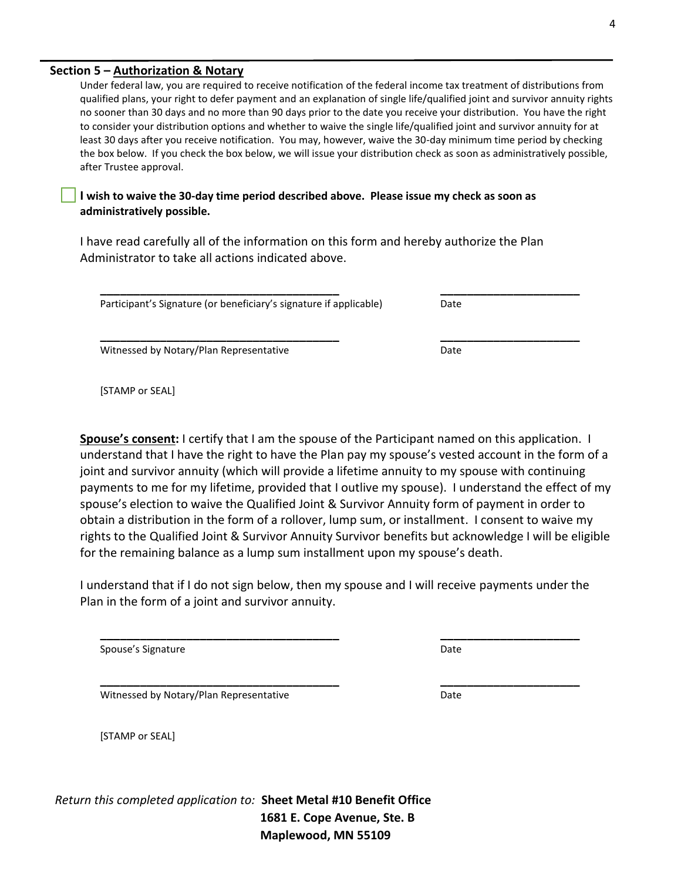#### **Section 5 – Authorization & Notary**

Under federal law, you are required to receive notification of the federal income tax treatment of distributions from qualified plans, your right to defer payment and an explanation of single life/qualified joint and survivor annuity rights no sooner than 30 days and no more than 90 days prior to the date you receive your distribution. You have the right to consider your distribution options and whether to waive the single life/qualified joint and survivor annuity for at least 30 days after you receive notification. You may, however, waive the 30-day minimum time period by checking the box below. If you check the box below, we will issue your distribution check as soon as administratively possible, after Trustee approval.

**I wish to waive the 30-day time period described above. Please issue my check as soon as administratively possible.**

I have read carefully all of the information on this form and hereby authorize the Plan Administrator to take all actions indicated above.

**\_\_\_\_\_\_\_\_\_\_\_\_\_\_\_\_\_\_\_\_\_\_\_\_\_\_\_\_\_\_\_\_\_\_\_\_ \_\_\_\_\_\_\_\_\_\_\_\_\_\_\_\_\_\_\_\_\_**

**\_\_\_\_\_\_\_\_\_\_\_\_\_\_\_\_\_\_\_\_\_\_\_\_\_\_\_\_\_\_\_\_\_\_\_\_ \_\_\_\_\_\_\_\_\_\_\_\_\_\_\_\_\_\_\_\_\_**

Participant's Signature (or beneficiary's signature if applicable) Date

Witnessed by Notary/Plan Representative **Date** Date

[STAMP or SEAL]

**Spouse's consent:** I certify that I am the spouse of the Participant named on this application. I understand that I have the right to have the Plan pay my spouse's vested account in the form of a joint and survivor annuity (which will provide a lifetime annuity to my spouse with continuing payments to me for my lifetime, provided that I outlive my spouse). I understand the effect of my spouse's election to waive the Qualified Joint & Survivor Annuity form of payment in order to obtain a distribution in the form of a rollover, lump sum, or installment. I consent to waive my rights to the Qualified Joint & Survivor Annuity Survivor benefits but acknowledge I will be eligible for the remaining balance as a lump sum installment upon my spouse's death.

I understand that if I do not sign below, then my spouse and I will receive payments under the Plan in the form of a joint and survivor annuity.

**\_\_\_\_\_\_\_\_\_\_\_\_\_\_\_\_\_\_\_\_\_\_\_\_\_\_\_\_\_\_\_\_\_\_\_\_ \_\_\_\_\_\_\_\_\_\_\_\_\_\_\_\_\_\_\_\_\_**

Spouse's Signature Date Date Communications and Date Date

Witnessed by Notary/Plan Representative Date

[STAMP or SEAL]

*Return this completed application to:* **Sheet Metal #10 Benefit Office 1681 E. Cope Avenue, Ste. B Maplewood, MN 55109**

**\_\_\_\_\_\_\_\_\_\_\_\_\_\_\_\_\_\_\_\_\_\_\_\_\_\_\_\_\_\_\_\_\_\_\_\_ \_\_\_\_\_\_\_\_\_\_\_\_\_\_\_\_\_\_\_\_\_**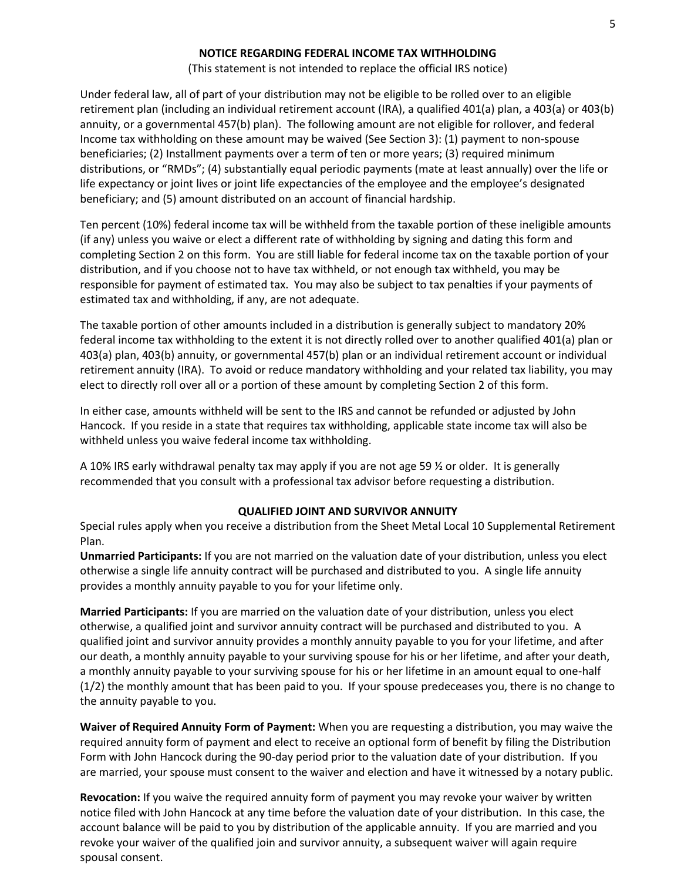#### **NOTICE REGARDING FEDERAL INCOME TAX WITHHOLDING**

(This statement is not intended to replace the official IRS notice)

Under federal law, all of part of your distribution may not be eligible to be rolled over to an eligible retirement plan (including an individual retirement account (IRA), a qualified 401(a) plan, a 403(a) or 403(b) annuity, or a governmental 457(b) plan). The following amount are not eligible for rollover, and federal Income tax withholding on these amount may be waived (See Section 3): (1) payment to non-spouse beneficiaries; (2) Installment payments over a term of ten or more years; (3) required minimum distributions, or "RMDs"; (4) substantially equal periodic payments (mate at least annually) over the life or life expectancy or joint lives or joint life expectancies of the employee and the employee's designated beneficiary; and (5) amount distributed on an account of financial hardship.

Ten percent (10%) federal income tax will be withheld from the taxable portion of these ineligible amounts (if any) unless you waive or elect a different rate of withholding by signing and dating this form and completing Section 2 on this form. You are still liable for federal income tax on the taxable portion of your distribution, and if you choose not to have tax withheld, or not enough tax withheld, you may be responsible for payment of estimated tax. You may also be subject to tax penalties if your payments of estimated tax and withholding, if any, are not adequate.

The taxable portion of other amounts included in a distribution is generally subject to mandatory 20% federal income tax withholding to the extent it is not directly rolled over to another qualified 401(a) plan or 403(a) plan, 403(b) annuity, or governmental 457(b) plan or an individual retirement account or individual retirement annuity (IRA). To avoid or reduce mandatory withholding and your related tax liability, you may elect to directly roll over all or a portion of these amount by completing Section 2 of this form.

In either case, amounts withheld will be sent to the IRS and cannot be refunded or adjusted by John Hancock. If you reside in a state that requires tax withholding, applicable state income tax will also be withheld unless you waive federal income tax withholding.

A 10% IRS early withdrawal penalty tax may apply if you are not age 59 ½ or older. It is generally recommended that you consult with a professional tax advisor before requesting a distribution.

#### **QUALIFIED JOINT AND SURVIVOR ANNUITY**

Special rules apply when you receive a distribution from the Sheet Metal Local 10 Supplemental Retirement Plan.

**Unmarried Participants:** If you are not married on the valuation date of your distribution, unless you elect otherwise a single life annuity contract will be purchased and distributed to you. A single life annuity provides a monthly annuity payable to you for your lifetime only.

**Married Participants:** If you are married on the valuation date of your distribution, unless you elect otherwise, a qualified joint and survivor annuity contract will be purchased and distributed to you. A qualified joint and survivor annuity provides a monthly annuity payable to you for your lifetime, and after our death, a monthly annuity payable to your surviving spouse for his or her lifetime, and after your death, a monthly annuity payable to your surviving spouse for his or her lifetime in an amount equal to one-half (1/2) the monthly amount that has been paid to you. If your spouse predeceases you, there is no change to the annuity payable to you.

**Waiver of Required Annuity Form of Payment:** When you are requesting a distribution, you may waive the required annuity form of payment and elect to receive an optional form of benefit by filing the Distribution Form with John Hancock during the 90-day period prior to the valuation date of your distribution. If you are married, your spouse must consent to the waiver and election and have it witnessed by a notary public.

**Revocation:** If you waive the required annuity form of payment you may revoke your waiver by written notice filed with John Hancock at any time before the valuation date of your distribution. In this case, the account balance will be paid to you by distribution of the applicable annuity. If you are married and you revoke your waiver of the qualified join and survivor annuity, a subsequent waiver will again require spousal consent.